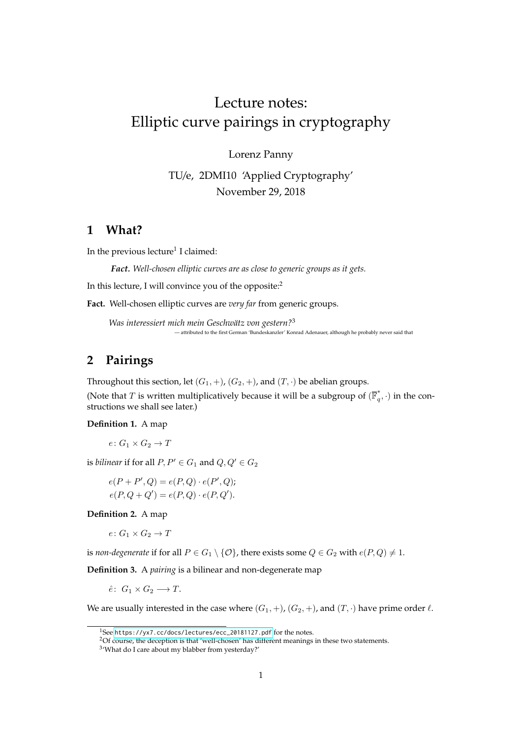# Lecture notes: Elliptic curve pairings in cryptography

Lorenz Panny

TU/e, 2DMI10 'Applied Cryptography' November 29, 2018

# **1 What?**

In the previous lecture<sup>1</sup> I claimed:

*Fact. Well-chosen elliptic curves are as close to generic groups as it gets.*

In this lecture, I will convince you of the opposite:<sup>2</sup>

**Fact.** Well-chosen elliptic curves are *very far* from generic groups.

*Was interessiert mich mein Geschwätz von gestern?*<sup>3</sup> — attributed to the first German 'Bundeskanzler' Konrad Adenauer, although he probably never said that

# **2 Pairings**

Throughout this section, let  $(G_1, +)$ ,  $(G_2, +)$ , and  $(T, \cdot)$  be abelian groups.

(Note that T is written multiplicatively because it will be a subgroup of  $(\overline{\mathbb{F}}_q^*$  $\binom{a}{q}, \cdot$  in the constructions we shall see later.)

**Definition 1.** A map

 $e: G_1 \times G_2 \rightarrow T$ 

is *bilinear* if for all  $P, P' \in G_1$  and  $Q, Q' \in G_2$ 

$$
e(P + P', Q) = e(P, Q) \cdot e(P', Q);
$$
  

$$
e(P, Q + Q') = e(P, Q) \cdot e(P, Q').
$$

**Definition 2.** A map

$$
e\colon G_1\times G_2\to T
$$

is *non-degenerate* if for all  $P \in G_1 \setminus \{O\}$ , there exists some  $Q \in G_2$  with  $e(P, Q) \neq 1$ .

**Definition 3.** A *pairing* is a bilinear and non-degenerate map

 $\hat{e}$ :  $G_1 \times G_2 \longrightarrow T$ .

We are usually interested in the case where  $(G_1, +)$ ,  $(G_2, +)$ , and  $(T, \cdot)$  have prime order  $\ell$ .

<sup>1</sup>See [https://yx7.cc/docs/lectures/ecc\\_20181127.pdf](https://yx7.cc/docs/lectures/ecc_20181127.pdf) for the notes.

<sup>2</sup>Of course, the deception is that 'well-chosen' has different meanings in these two statements.

<sup>3</sup> 'What do I care about my blabber from yesterday?'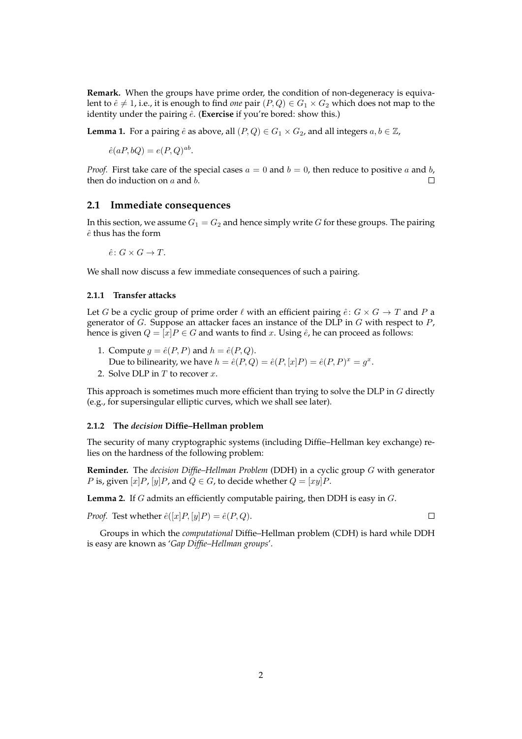**Remark.** When the groups have prime order, the condition of non-degeneracy is equivalent to  $\hat{e} \neq 1$ , i.e., it is enough to find *one* pair  $(P,Q) \in G_1 \times G_2$  which does not map to the identity under the pairing  $\hat{e}$ . (**Exercise** if you're bored: show this.)

**Lemma 1.** For a pairing  $\hat{e}$  as above, all  $(P,Q) \in G_1 \times G_2$ , and all integers  $a, b \in \mathbb{Z}$ ,

$$
\hat{e}(aP, bQ) = e(P, Q)^{ab}.
$$

*Proof.* First take care of the special cases  $a = 0$  and  $b = 0$ , then reduce to positive a and b, then do induction on  $a$  and  $b$ .  $\Box$ 

#### **2.1 Immediate consequences**

In this section, we assume  $G_1 = G_2$  and hence simply write G for these groups. The pairing  $\hat{e}$  thus has the form

$$
\hat{e} \colon G \times G \to T.
$$

We shall now discuss a few immediate consequences of such a pairing.

#### **2.1.1 Transfer attacks**

Let G be a cyclic group of prime order  $\ell$  with an efficient pairing  $\hat{e}: G \times G \to T$  and P a generator of  $G$ . Suppose an attacker faces an instance of the DLP in  $G$  with respect to  $P$ , hence is given  $Q = [x]P \in G$  and wants to find x. Using  $\hat{e}$ , he can proceed as follows:

- 1. Compute  $q = \hat{e}(P, P)$  and  $h = \hat{e}(P, Q)$ . Due to bilinearity, we have  $h = \hat{e}(P,Q) = \hat{e}(P,[x]P) = \hat{e}(P,P)^x = g^x$ .
- 2. Solve DLP in  $T$  to recover  $x$ .

This approach is sometimes much more efficient than trying to solve the DLP in  $G$  directly (e.g., for supersingular elliptic curves, which we shall see later).

#### **2.1.2 The** *decision* **Diffie–Hellman problem**

The security of many cryptographic systems (including Diffie–Hellman key exchange) relies on the hardness of the following problem:

**Reminder.** The *decision Diffie–Hellman Problem* (DDH) in a cyclic group G with generator *P* is, given [x] *P*, [y] *P*, and  $Q \in G$ , to decide whether  $Q = [xy]P$ .

**Lemma 2.** If G admits an efficiently computable pairing, then DDH is easy in G.

*Proof.* Test whether  $\hat{e}([x]P,[y]P) = \hat{e}(P,Q)$ .

Groups in which the *computational* Diffie–Hellman problem (CDH) is hard while DDH is easy are known as '*Gap Diffie–Hellman groups*'.

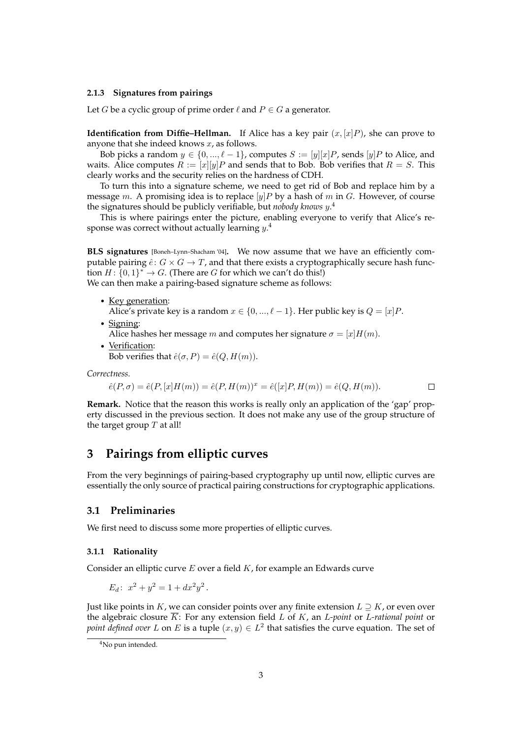#### **2.1.3 Signatures from pairings**

Let *G* be a cyclic group of prime order  $\ell$  and  $P \in G$  a generator.

**Identification from Diffie–Hellman.** If Alice has a key pair  $(x,[x]P)$ , she can prove to anyone that she indeed knows  $x$ , as follows.

Bob picks a random  $y \in \{0, ..., \ell-1\}$ , computes  $S := [y][x]P$ , sends  $[y]P$  to Alice, and waits. Alice computes  $R := [x][y]P$  and sends that to Bob. Bob verifies that  $R = S$ . This clearly works and the security relies on the hardness of CDH.

To turn this into a signature scheme, we need to get rid of Bob and replace him by a message m. A promising idea is to replace [y]P by a hash of m in G. However, of course the signatures should be publicly verifiable, but *nobody knows* y. 4

This is where pairings enter the picture, enabling everyone to verify that Alice's response was correct without actually learning  $y^{.4}$ 

**BLS signatures** [Boneh–Lynn–Shacham '04]**.** We now assume that we have an efficiently computable pairing  $\hat{e}: G \times G \to T$ , and that there exists a cryptographically secure hash function  $H: \{0,1\}^* \to G$ . (There are G for which we can't do this!) We can then make a pairing-based signature scheme as follows:

- Key generation: Alice's private key is a random  $x \in \{0, ..., \ell - 1\}$ . Her public key is  $Q = [x]P$ .
- Signing: Alice hashes her message m and computes her signature  $\sigma = [x]H(m)$ .
- Verification: Bob verifies that  $\hat{e}(\sigma, P) = \hat{e}(Q, H(m)).$

*Correctness.*

$$
\hat{e}(P,\sigma) = \hat{e}(P,[x]H(m)) = \hat{e}(P,H(m))^x = \hat{e}([x]P,H(m)) = \hat{e}(Q,H(m)).
$$

**Remark.** Notice that the reason this works is really only an application of the 'gap' property discussed in the previous section. It does not make any use of the group structure of the target group  $T$  at all!

# **3 Pairings from elliptic curves**

From the very beginnings of pairing-based cryptography up until now, elliptic curves are essentially the only source of practical pairing constructions for cryptographic applications.

#### **3.1 Preliminaries**

We first need to discuss some more properties of elliptic curves.

#### **3.1.1 Rationality**

Consider an elliptic curve  $E$  over a field  $K$ , for example an Edwards curve

$$
E_d: x^2 + y^2 = 1 + dx^2 y^2.
$$

Just like points in K, we can consider points over any finite extension  $L \supseteq K$ , or even over the algebraic closure  $\overline{K}$ : For any extension field L of K, an L-point or L-rational point or *point defined over L* on *E* is a tuple  $(x, y) \in L^2$  that satisfies the curve equation. The set of

<sup>&</sup>lt;sup>4</sup>No pun intended.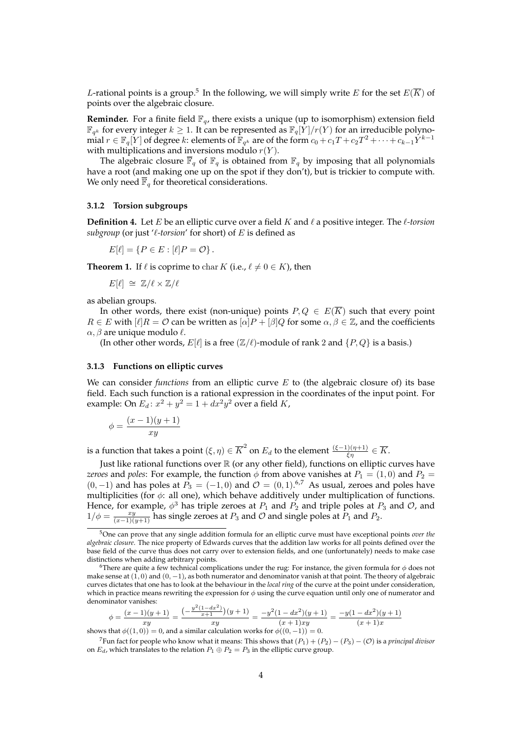*L*-rational points is a group.<sup>5</sup> In the following, we will simply write  $E$  for the set  $E(\overline{K})$  of points over the algebraic closure.

**Reminder.** For a finite field  $\mathbb{F}_q$ , there exists a unique (up to isomorphism) extension field  $\mathbb{F}_{q^k}$  for every integer  $k\geq 1$ . It can be represented as  $\mathbb{F}_q[\hat{Y}]/r(Y)$  for an irreducible polynomial  $r \in \mathbb{F}_q[Y]$  of degree  $k$ : elements of  $\mathbb{F}_{q^k}$  are of the form  $c_0+c_1T+c_2T^2+\cdots+c_{k-1}Y^{k-1}$ with multiplications and inversions modulo  $r(Y)$ .

The algebraic closure  $\overline{\mathbb{F}}_q$  of  $\mathbb{F}_q$  is obtained from  $\mathbb{F}_q$  by imposing that all polynomials have a root (and making one up on the spot if they don't), but is trickier to compute with. We only need  $\overline{\mathbb{F}}_q$  for theoretical considerations.

#### **3.1.2 Torsion subgroups**

**Definition 4.** Let E be an elliptic curve over a field K and  $\ell$  a positive integer. The  $\ell$ -torsion *subgroup* (or just ' $\ell$ -torsion' for short) of E is defined as

$$
E[\ell] = \{ P \in E : [\ell]P = \mathcal{O} \}.
$$

**Theorem 1.** If  $\ell$  is coprime to char K (i.e.,  $\ell \neq 0 \in K$ ), then

$$
E[\ell] \cong \mathbb{Z}/\ell \times \mathbb{Z}/\ell
$$

as abelian groups.

In other words, there exist (non-unique) points  $P, Q \in E(\overline{K})$  such that every point  $R \in E$  with  $[\ell]R = \mathcal{O}$  can be written as  $[\alpha]P + [\beta]Q$  for some  $\alpha, \beta \in \mathbb{Z}$ , and the coefficients  $\alpha$ ,  $\beta$  are unique modulo  $\ell$ .

(In other other words,  $E[\ell]$  is a free  $(\mathbb{Z}/\ell)$ -module of rank 2 and  $\{P, Q\}$  is a basis.)

#### **3.1.3 Functions on elliptic curves**

We can consider *functions* from an elliptic curve E to (the algebraic closure of) its base field. Each such function is a rational expression in the coordinates of the input point. For example: On  $E_d$ :  $x^2 + y^2 = 1 + dx^2y^2$  over a field K,

$$
\phi = \frac{(x-1)(y+1)}{xy}
$$

is a function that takes a point  $(\xi,\eta)\in \overline K^2$  on  $E_d$  to the element  $\frac{(\xi-1)(\eta+1)}{\xi\eta}\in \overline K.$ 

Just like rational functions over  $\mathbb R$  (or any other field), functions on elliptic curves have *zeroes* and *poles*: For example, the function  $\phi$  from above vanishes at  $P_1 = (1, 0)$  and  $P_2 =$  $(0, -1)$  and has poles at  $P_3 = (-1, 0)$  and  $\mathcal{O} = (0, 1)$ .<sup>6,7</sup> As usual, zeroes and poles have multiplicities (for  $\phi$ : all one), which behave additively under multiplication of functions. Hence, for example,  $\phi^3$  has triple zeroes at  $P_1$  and  $P_2$  and triple poles at  $P_3$  and  $\mathcal{O}$ , and  $1/\phi = \frac{xy}{(x-1)(y+1)}$  has single zeroes at  $P_3$  and  $\mathcal O$  and single poles at  $P_1$  and  $P_2$ .

$$
\phi = \frac{(x-1)(y+1)}{xy} = \frac{\left(-\frac{y^2(1-dx^2)}{x+1}\right)(y+1)}{xy} = \frac{-y^2(1-dx^2)(y+1)}{(x+1)xy} = \frac{-y(1-dx^2)(y+1)}{(x+1)x}
$$

shows that  $\phi((1,0)) = 0$ , and a similar calculation works for  $\phi((0,-1)) = 0$ .

<sup>5</sup>One can prove that any single addition formula for an elliptic curve must have exceptional points *over the algebraic closure*. The nice property of Edwards curves that the addition law works for all points defined over the base field of the curve thus does not carry over to extension fields, and one (unfortunately) needs to make case distinctions when adding arbitrary points.

<sup>&</sup>lt;sup>6</sup>There are quite a few technical complications under the rug: For instance, the given formula for  $\phi$  does not make sense at  $(1, 0)$  and  $(0, -1)$ , as both numerator and denominator vanish at that point. The theory of algebraic curves dictates that one has to look at the behaviour in the *local ring* of the curve at the point under consideration, which in practice means rewriting the expression for  $\phi$  using the curve equation until only one of numerator and denominator vanishes:

<sup>&</sup>lt;sup>7</sup>Fun fact for people who know what it means: This shows that  $(P_1) + (P_2) - (P_3) - (O)$  is a *principal divisor* on  $E_d$ , which translates to the relation  $P_1 \oplus P_2 = P_3$  in the elliptic curve group.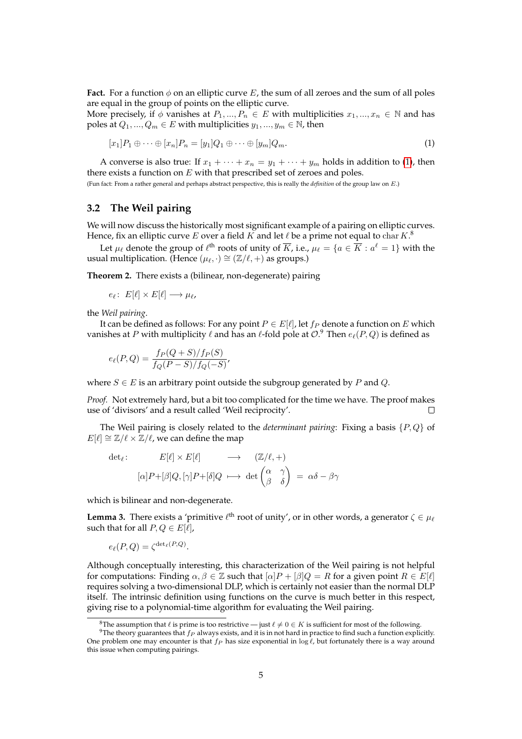**Fact.** For a function  $\phi$  on an elliptic curve E, the sum of all zeroes and the sum of all poles are equal in the group of points on the elliptic curve.

More precisely, if  $\phi$  vanishes at  $P_1, ..., P_n \in E$  with multiplicities  $x_1, ..., x_n \in \mathbb{N}$  and has poles at  $Q_1, ..., Q_m \in E$  with multiplicities  $y_1, ..., y_m \in \mathbb{N}$ , then

<span id="page-4-0"></span>
$$
[x_1]P_1 \oplus \cdots \oplus [x_n]P_n = [y_1]Q_1 \oplus \cdots \oplus [y_m]Q_m.
$$
\n
$$
(1)
$$

A converse is also true: If  $x_1 + \cdots + x_n = y_1 + \cdots + y_m$  holds in addition to [\(1\)](#page-4-0), then there exists a function on  $E$  with that prescribed set of zeroes and poles.

(Fun fact: From a rather general and perhaps abstract perspective, this is really the *definition* of the group law on E.)

## **3.2 The Weil pairing**

We will now discuss the historically most significant example of a pairing on elliptic curves. Hence, fix an elliptic curve  $E$  over a field  $K$  and let  $\ell$  be a prime not equal to  $\mathrm{char}\, K.{}^{8}$ 

Let  $\mu_\ell$  denote the group of  $\ell^{\text{th}}$  roots of unity of  $\overline{K}$ , i.e.,  $\mu_\ell = \{a \in \overline{K} : a^\ell = 1\}$  with the usual multiplication. (Hence  $(\mu_{\ell}, \cdot) \cong (\mathbb{Z}/\ell, +)$  as groups.)

**Theorem 2.** There exists a (bilinear, non-degenerate) pairing

$$
e_{\ell}: E[\ell] \times E[\ell] \longrightarrow \mu_{\ell},
$$

the *Weil pairing*.

It can be defined as follows: For any point  $P \in E[\ell]$ , let  $f_P$  denote a function on E which vanishes at  $P$  with multiplicity  $\ell$  and has an  $\ell$ -fold pole at  $\mathcal{O}.^9$  Then  $e_\ell(P, Q)$  is defined as

$$
e_{\ell}(P,Q) = \frac{f_P(Q+S)/f_P(S)}{f_Q(P-S)/f_Q(-S)},
$$

where  $S \in E$  is an arbitrary point outside the subgroup generated by P and Q.

*Proof.* Not extremely hard, but a bit too complicated for the time we have. The proof makes use of 'divisors' and a result called 'Weil reciprocity'.  $\Box$ 

The Weil pairing is closely related to the *determinant pairing*: Fixing a basis {P, Q} of  $E[\ell] \cong \mathbb{Z}/\ell \times \mathbb{Z}/\ell$ , we can define the map

$$
\det_{\ell}: \qquad E[\ell] \times E[\ell] \qquad \longrightarrow \qquad (\mathbb{Z}/\ell, +)
$$

$$
[\alpha]P + [\beta]Q, [\gamma]P + [\delta]Q \qquad \longrightarrow \det\begin{pmatrix} \alpha & \gamma \\ \beta & \delta \end{pmatrix} = \alpha\delta - \beta\gamma
$$

which is bilinear and non-degenerate.

**Lemma 3.** There exists a 'primitive  $\ell^{\text{th}}$  root of unity', or in other words, a generator  $\zeta \in \mu_{\ell}$ such that for all  $P, Q \in E[\ell],$ 

$$
e_{\ell}(P,Q) = \zeta^{\det_{\ell}(P,Q)}.
$$

Although conceptually interesting, this characterization of the Weil pairing is not helpful for computations: Finding  $\alpha, \beta \in \mathbb{Z}$  such that  $[\alpha]P + [\beta]Q = R$  for a given point  $R \in E[\ell]$ requires solving a two-dimensional DLP, which is certainly not easier than the normal DLP itself. The intrinsic definition using functions on the curve is much better in this respect, giving rise to a polynomial-time algorithm for evaluating the Weil pairing.

<sup>&</sup>lt;sup>8</sup>The assumption that  $\ell$  is prime is too restrictive — just  $\ell \neq 0 \in K$  is sufficient for most of the following.

<sup>&</sup>lt;sup>9</sup>The theory guarantees that  $f_P$  always exists, and it is in not hard in practice to find such a function explicitly. One problem one may encounter is that  $f_P$  has size exponential in log  $\ell$ , but fortunately there is a way around this issue when computing pairings.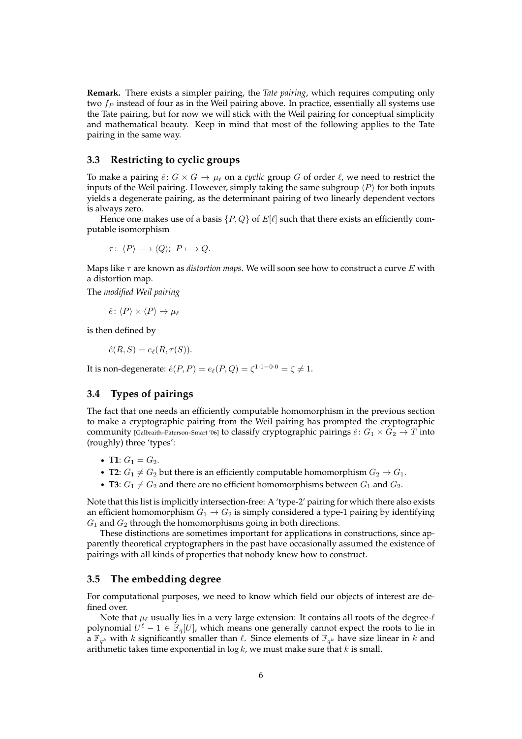**Remark.** There exists a simpler pairing, the *Tate pairing*, which requires computing only two  $f_P$  instead of four as in the Weil pairing above. In practice, essentially all systems use the Tate pairing, but for now we will stick with the Weil pairing for conceptual simplicity and mathematical beauty. Keep in mind that most of the following applies to the Tate pairing in the same way.

### **3.3 Restricting to cyclic groups**

To make a pairing  $\hat{e}: G \times G \to \mu_{\ell}$  on a *cyclic* group G of order  $\ell$ , we need to restrict the inputs of the Weil pairing. However, simply taking the same subgroup  $\langle P \rangle$  for both inputs yields a degenerate pairing, as the determinant pairing of two linearly dependent vectors is always zero.

Hence one makes use of a basis  $\{P, Q\}$  of  $E[\ell]$  such that there exists an efficiently computable isomorphism

$$
\tau\colon \left\longrightarrow \left;\ P\longmapsto Q.
$$

Maps like  $\tau$  are known as *distortion maps*. We will soon see how to construct a curve E with a distortion map.

The *modified Weil pairing*

$$
\hat{e} \colon \langle P \rangle \times \langle P \rangle \to \mu_{\ell}
$$

is then defined by

$$
\hat{e}(R,S) = e_{\ell}(R,\tau(S)).
$$

It is non-degenerate:  $\hat e(P,P) = e_{\ell}(P,Q) = \zeta^{1\cdot 1 - 0\cdot 0} = \zeta \neq 1.$ 

## **3.4 Types of pairings**

The fact that one needs an efficiently computable homomorphism in the previous section to make a cryptographic pairing from the Weil pairing has prompted the cryptographic community [Galbraith–Paterson–Smart '06] to classify cryptographic pairings  $\hat{e}: G_1 \times G_2 \to T$  into (roughly) three 'types':

- **T1**:  $G_1 = G_2$ .
- **T2**:  $G_1 \neq G_2$  but there is an efficiently computable homomorphism  $G_2 \rightarrow G_1$ .
- **T3**:  $G_1 \neq G_2$  and there are no efficient homomorphisms between  $G_1$  and  $G_2$ .

Note that this list is implicitly intersection-free: A 'type-2' pairing for which there also exists an efficient homomorphism  $G_1 \rightarrow G_2$  is simply considered a type-1 pairing by identifying  $G_1$  and  $G_2$  through the homomorphisms going in both directions.

These distinctions are sometimes important for applications in constructions, since apparently theoretical cryptographers in the past have occasionally assumed the existence of pairings with all kinds of properties that nobody knew how to construct.

### **3.5 The embedding degree**

For computational purposes, we need to know which field our objects of interest are defined over.

Note that  $\mu_{\ell}$  usually lies in a very large extension: It contains all roots of the degree- $\ell$ polynomial  $U^{\ell} - 1 \in \mathbb{F}_q[U]$ , which means one generally cannot expect the roots to lie in  $\mathbf{a} \mathbb{F}_{q^k}$  with k significantly smaller than  $\ell$ . Since elements of  $\mathbb{F}_{q^k}$  have size linear in k and arithmetic takes time exponential in  $\log k$ , we must make sure that k is small.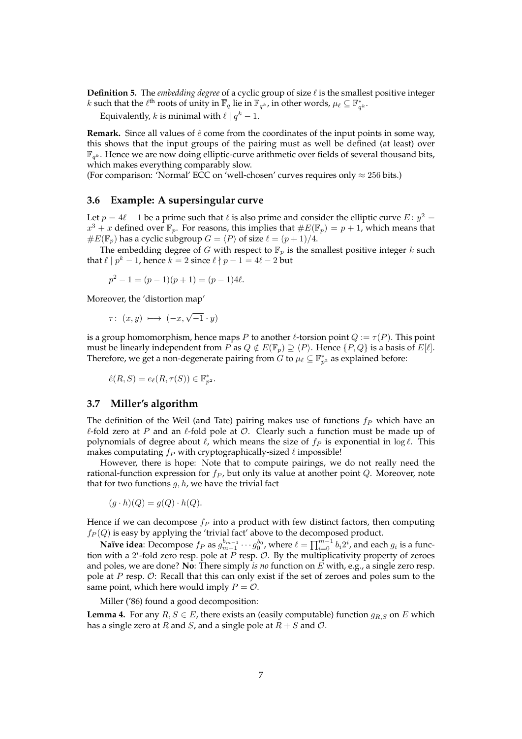**Definition 5.** The *embedding degree* of a cyclic group of size  $\ell$  is the smallest positive integer k such that the  $\ell^{\text{th}}$  roots of unity in  $\overline{\mathbb{F}}_q$  lie in  $\mathbb{F}_{q^k}$ , in other words,  $\mu_\ell \subseteq \mathbb{F}_{q^k}^*$ .

Equivalently,  $k$  is minimal with  $\ell \mid q^k-1.$ 

**Remark.** Since all values of  $\hat{e}$  come from the coordinates of the input points in some way, this shows that the input groups of the pairing must as well be defined (at least) over  $\mathbb{F}_{q^k}$ . Hence we are now doing elliptic-curve arithmetic over fields of several thousand bits, which makes everything comparably slow.

(For comparison: 'Normal' ECC on 'well-chosen' curves requires only  $\approx 256$  bits.)

#### **3.6 Example: A supersingular curve**

Let  $p = 4\ell - 1$  be a prime such that  $\ell$  is also prime and consider the elliptic curve  $E : y^2 =$  $x^3 + x$  defined over  $\mathbb{F}_p$ . For reasons, this implies that  $\#E(\mathbb{F}_p) = p + 1$ , which means that  $\#E(\mathbb{F}_p)$  has a cyclic subgroup  $G = \langle P \rangle$  of size  $\ell = (p + 1)/4$ .

The embedding degree of G with respect to  $\mathbb{F}_p$  is the smallest positive integer k such that  $\ell | p^k - 1$ , hence  $k = 2$  since  $\ell | p - 1 = 4\ell - 2$  but

 $p^{2} - 1 = (p - 1)(p + 1) = (p - 1)4\ell.$ 

Moreover, the 'distortion map'

$$
\tau\colon\ (x,y)\ \longmapsto\ (-x,\sqrt{-1}\cdot y)
$$

is a group homomorphism, hence maps P to another  $\ell$ -torsion point  $Q := \tau(P)$ . This point must be linearly independent from P as  $Q \notin E(\mathbb{F}_p) \supseteq \langle P \rangle$ . Hence  $\{P, Q\}$  is a basis of  $E[\ell]$ . Therefore, we get a non-degenerate pairing from G to  $\mu_{\ell} \subseteq \mathbb{F}_{p^2}^*$  as explained before:

$$
\hat{e}(R, S) = e_{\ell}(R, \tau(S)) \in \mathbb{F}_{p^2}^*.
$$

#### **3.7 Miller's algorithm**

The definition of the Weil (and Tate) pairing makes use of functions  $f_P$  which have an  $\ell$ -fold zero at P and an  $\ell$ -fold pole at  $\mathcal O$ . Clearly such a function must be made up of polynomials of degree about  $\ell$ , which means the size of  $f_P$  is exponential in log  $\ell$ . This makes computating  $f_P$  with cryptographically-sized  $\ell$  impossible!

However, there is hope: Note that to compute pairings, we do not really need the rational-function expression for  $f_P$ , but only its value at another point  $Q$ . Moreover, note that for two functions  $g, h$ , we have the trivial fact

$$
(g \cdot h)(Q) = g(Q) \cdot h(Q).
$$

Hence if we can decompose  $f_P$  into a product with few distinct factors, then computing  $f_P(Q)$  is easy by applying the 'trivial fact' above to the decomposed product.

**Naïve idea**: Decompose  $f_P$  as  $g_{m-1}^{b_{m-1}}\cdots g_0^{b_0}$ , where  $\ell=\prod_{i=0}^{m-1}b_i2^i$ , and each  $g_i$  is a function with a  $2^{i}$ -fold zero resp. pole at P resp.  $\mathcal{O}$ . By the multiplicativity property of zeroes and poles, we are done? **No**: There simply *is no* function on E with, e.g., a single zero resp. pole at P resp. O: Recall that this can only exist if the set of zeroes and poles sum to the same point, which here would imply  $P = \mathcal{O}$ .

Miller ('86) found a good decomposition:

**Lemma 4.** For any  $R, S \in E$ , there exists an (easily computable) function  $g_{R,S}$  on E which has a single zero at R and S, and a single pole at  $R + S$  and  $O$ .